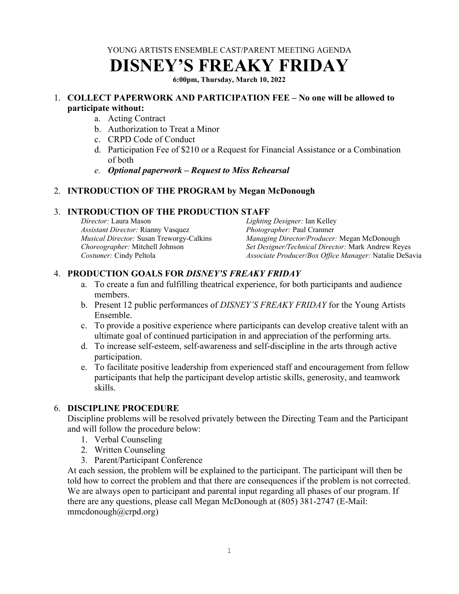YOUNG ARTISTS ENSEMBLE CAST/PARENT MEETING AGENDA

# **DISNEY'S FREAKY FRIDAY**

**6:00pm, Thursday, March 10, 2022** 

#### 1. **COLLECT PAPERWORK AND PARTICIPATION FEE – No one will be allowed to participate without:**

- a. Acting Contract
- b. Authorization to Treat a Minor
- c. CRPD Code of Conduct
- d. Participation Fee of \$210 or a Request for Financial Assistance or a Combination of both
- *e. Optional paperwork Request to Miss Rehearsal*

## 2. **INTRODUCTION OF THE PROGRAM by Megan McDonough**

## 3. **INTRODUCTION OF THE PRODUCTION STAFF**

*Director:* Laura Mason *Assistant Director:* Rianny Vasquez *Musical Director:* Susan Treworgy-Calkins *Choreographer:* Mitchell Johnson *Costumer:* Cindy Peltola *Lighting Designer:* Ian Kelley *Photographer:* Paul Cranmer *Managing Director/Producer:* Megan McDonough *Set Designer/Technical Director:* Mark Andrew Reyes *Associate Producer/Box Office Manager:* Natalie DeSavia

# 4. **PRODUCTION GOALS FOR** *DISNEY'S FREAKY FRIDAY*

- a. To create a fun and fulfilling theatrical experience, for both participants and audience members.
- b. Present 12 public performances of *DISNEY'S FREAKY FRIDAY* for the Young Artists Ensemble.
- c. To provide a positive experience where participants can develop creative talent with an ultimate goal of continued participation in and appreciation of the performing arts.
- d. To increase self-esteem, self-awareness and self-discipline in the arts through active participation.
- e. To facilitate positive leadership from experienced staff and encouragement from fellow participants that help the participant develop artistic skills, generosity, and teamwork skills.

## 6. **DISCIPLINE PROCEDURE**

Discipline problems will be resolved privately between the Directing Team and the Participant and will follow the procedure below:

- 1. Verbal Counseling
- 2. Written Counseling
- 3. Parent/Participant Conference

At each session, the problem will be explained to the participant. The participant will then be told how to correct the problem and that there are consequences if the problem is not corrected. We are always open to participant and parental input regarding all phases of our program. If there are any questions, please call Megan McDonough at (805) 381-2747 (E-Mail: mmcdonough@crpd.org)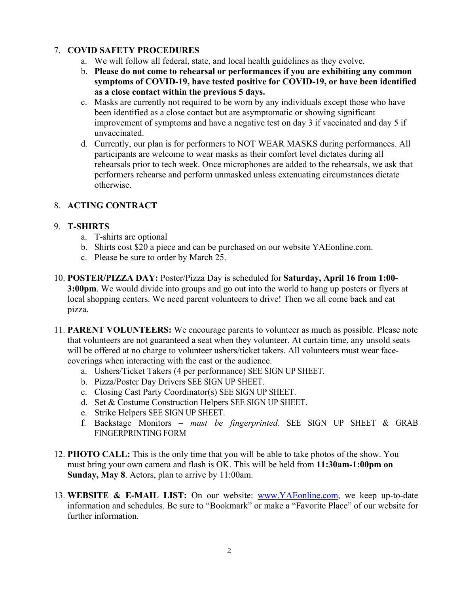## 7. **COVID SAFETY PROCEDURES**

- a. We will follow all federal, state, and local health guidelines as they evolve.
- b. **Please do not come to rehearsal or performances if you are exhibiting any common symptoms of COVID-19, have tested positive for COVID-19, or have been identified as a close contact within the previous 5 days.**
- c. Masks are currently not required to be worn by any individuals except those who have been identified as a close contact but are asymptomatic or showing significant improvement of symptoms and have a negative test on day 3 if vaccinated and day 5 if unvaccinated.
- d. Currently, our plan is for performers to NOT WEAR MASKS during performances. All participants are welcome to wear masks as their comfort level dictates during all rehearsals prior to tech week. Once microphones are added to the rehearsals, we ask that performers rehearse and perform unmasked unless extenuating circumstances dictate otherwise.

## 8. **ACTING CONTRACT**

#### 9. **T-SHIRTS**

- a. T-shirts are optional
- b. Shirts cost \$20 a piece and can be purchased on our website YAEonline.com.
- c. Please be sure to order by March 25.
- 10. **POSTER/PIZZA DAY:** Poster/Pizza Day is scheduled for **Saturday, April 16 from 1:00- 3:00pm**. We would divide into groups and go out into the world to hang up posters or flyers at local shopping centers. We need parent volunteers to drive! Then we all come back and eat pizza.
- 11. **PARENT VOLUNTEERS:** We encourage parents to volunteer as much as possible. Please note that volunteers are not guaranteed a seat when they volunteer. At curtain time, any unsold seats will be offered at no charge to volunteer ushers/ticket takers. All volunteers must wear facecoverings when interacting with the cast or the audience.
	- a. Ushers/Ticket Takers (4 per performance) SEE SIGN UP SHEET.
	- b. Pizza/Poster Day Drivers SEE SIGN UP SHEET.
	- c. Closing Cast Party Coordinator(s) SEE SIGN UP SHEET.
	- d. Set & Costume Construction Helpers SEE SIGN UP SHEET.
	- e. Strike Helpers SEE SIGN UP SHEET.
	- f. Backstage Monitors *must be fingerprinted.* SEE SIGN UP SHEET & GRAB FINGERPRINTING FORM
- 12. **PHOTO CALL:** This is the only time that you will be able to take photos of the show. You must bring your own camera and flash is OK. This will be held from **11:30am-1:00pm on Sunday, May 8**. Actors, plan to arrive by 11:00am.
- 13. **WEBSITE & E-MAIL LIST:** On our website: www.YAEonline.com, we keep up-to-date information and schedules. Be sure to "Bookmark" or make a "Favorite Place" of our website for further information.